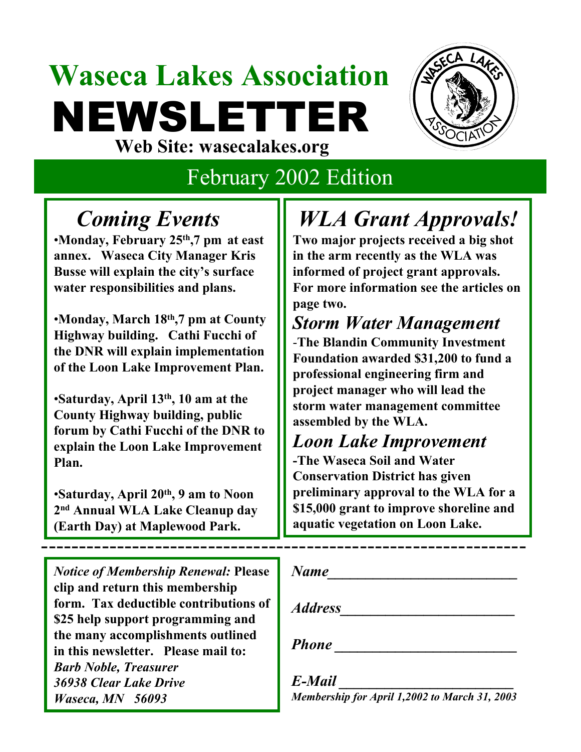# **Waseca Lakes Association** NEWSLETTER **Web Site: wasecalakes.org**



## February 2002 Edition

----------------------------------------------------------------

### *Coming Events*

•**Monday, February 25th,7 pm at east annex. Waseca City Manager Kris Busse will explain the city's surface water responsibilities and plans.**

•**Monday, March 18th,7 pm at County Highway building. Cathi Fucchi of the DNR will explain implementation of the Loon Lake Improvement Plan.**

•**Saturday, April 13th, 10 am at the County Highway building, public forum by Cathi Fucchi of the DNR to explain the Loon Lake Improvement Plan.**

•**Saturday, April 20th, 9 am to Noon 2nd Annual WLA Lake Cleanup day (Earth Day) at Maplewood Park.**

*Notice of Membership Renewal:* **Please clip and return this membership form. Tax deductible contributions of \$25 help support programming and the many accomplishments outlined in this newsletter. Please mail to:**  *Barb Noble, Treasurer 36938 Clear Lake Drive Waseca, MN 56093*

## *WLA Grant Approvals!*

**Two major projects received a big shot in the arm recently as the WLA was informed of project grant approvals. For more information see the articles on page two.**

#### *Storm Water Management*

-**The Blandin Community Investment Foundation awarded \$31,200 to fund a professional engineering firm and project manager who will lead the storm water management committee assembled by the WLA.**

### *Loon Lake Improvement*

**-The Waseca Soil and Water Conservation District has given preliminary approval to the WLA for a \$15,000 grant to improve shoreline and aquatic vegetation on Loon Lake.** 

*E-Mail \_\_\_\_\_\_\_\_\_\_\_\_\_\_\_\_\_\_\_\_\_\_\_ Membership for April 1,2002 to March 31, 2003*